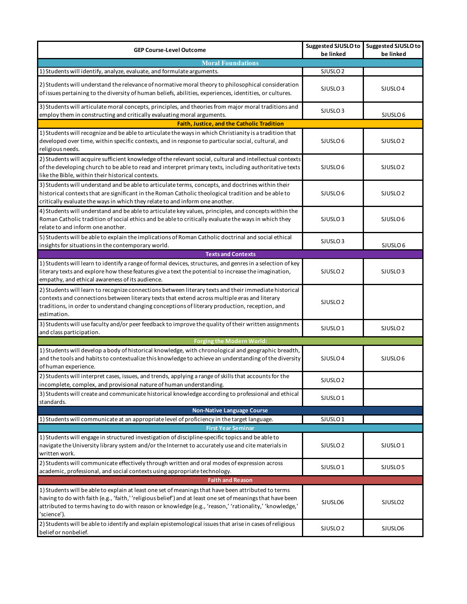| <b>GEP Course-Level Outcome</b>                                                                                                                                                                                                                                                                                                             | <b>Suggested SJUSLO to</b><br>be linked | <b>Suggested SJUSLO to</b><br>be linked |  |  |
|---------------------------------------------------------------------------------------------------------------------------------------------------------------------------------------------------------------------------------------------------------------------------------------------------------------------------------------------|-----------------------------------------|-----------------------------------------|--|--|
| <b>Moral Foundations</b>                                                                                                                                                                                                                                                                                                                    |                                         |                                         |  |  |
| 1) Students will identify, analyze, evaluate, and formulate arguments.                                                                                                                                                                                                                                                                      | SJUSLO <sub>2</sub>                     |                                         |  |  |
| 2) Students will understand the relevance of normative moral theory to philosophical consideration<br>of issues pertaining to the diversity of human beliefs, abilities, experiences, identities, or cultures.                                                                                                                              | SJUSLO <sub>3</sub>                     | SJUSLO <sub>4</sub>                     |  |  |
| 3) Students will articulate moral concepts, principles, and theories from major moral traditions and<br>employ them in constructing and critically evaluating moral arguments.                                                                                                                                                              | SJUSLO <sub>3</sub>                     | SJUSLO <sub>6</sub>                     |  |  |
| Faith, Justice, and the Catholic Tradition                                                                                                                                                                                                                                                                                                  |                                         |                                         |  |  |
| 1) Students will recognize and be able to articulate the ways in which Christianity is a tradition that<br>developed over time, within specific contexts, and in response to particular social, cultural, and<br>religious needs.                                                                                                           | SJUSLO <sub>6</sub>                     | SJUSLO <sub>2</sub>                     |  |  |
| 2) Students will acquire sufficient knowledge of the relevant social, cultural and intellectual contexts<br>of the developing church to be able to read and interpret primary texts, including authoritative texts<br>like the Bible, within their historical contexts.                                                                     | SJUSLO <sub>6</sub>                     | SJUSLO <sub>2</sub>                     |  |  |
| 3) Students will understand and be able to articulate terms, concepts, and doctrines within their<br>historical contexts that are significant in the Roman Catholic theological tradition and be able to<br>critically evaluate the ways in which they relate to and inform one another.                                                    | SJUSLO <sub>6</sub>                     | SJUSLO <sub>2</sub>                     |  |  |
| 4) Students will understand and be able to articulate key values, principles, and concepts within the<br>Roman Catholic tradition of social ethics and be able to critically evaluate the ways in which they<br>relate to and inform one another.                                                                                           | SJUSLO <sub>3</sub>                     | SJUSLO <sub>6</sub>                     |  |  |
| 5) Students will be able to explain the implications of Roman Catholic doctrinal and social ethical<br>insights for situations in the contemporary world.                                                                                                                                                                                   | SJUSLO <sub>3</sub>                     | SJUSLO <sub>6</sub>                     |  |  |
| <b>Texts and Contexts</b>                                                                                                                                                                                                                                                                                                                   |                                         |                                         |  |  |
| 1) Students will learn to identify a range of formal devices, structures, and genres in a selection of key<br>literary texts and explore how these features give a text the potential to increase the imagination,<br>empathy, and ethical awareness of its audience.                                                                       | SJUSLO <sub>2</sub>                     | SJUSLO <sub>3</sub>                     |  |  |
| 2) Students will learn to recognize connections between literary texts and their immediate historical<br>contexts and connections between literary texts that extend across multiple eras and literary<br>traditions, in order to understand changing conceptions of literary production, reception, and<br>estimation.                     | SJUSLO <sub>2</sub>                     |                                         |  |  |
| 3) Students will use faculty and/or peer feedback to improve the quality of their written assignments<br>and class participation.                                                                                                                                                                                                           | SJUSLO <sub>1</sub>                     | SJUSLO <sub>2</sub>                     |  |  |
| <b>Forging the Modern World:</b>                                                                                                                                                                                                                                                                                                            |                                         |                                         |  |  |
| 1) Students will develop a body of historical knowledge, with chronological and geographic breadth,<br>and the tools and habits to contextualize this knowledge to achieve an understanding of the diversity<br>of human experience.                                                                                                        | SJUSLO <sub>4</sub>                     | SJUSLO <sub>6</sub>                     |  |  |
| 2) Students will interpret cases, issues, and trends, applying a range of skills that accounts for the<br>incomplete, complex, and provisional nature of human understanding.                                                                                                                                                               | SJUSLO <sub>2</sub>                     |                                         |  |  |
| 3) Students will create and communicate historical knowledge according to professional and ethical<br>standards.                                                                                                                                                                                                                            | SJUSLO <sub>1</sub>                     |                                         |  |  |
| <b>Non-Native Language Course</b>                                                                                                                                                                                                                                                                                                           |                                         |                                         |  |  |
| 1) Students will communicate at an appropriate level of proficiency in the target language.                                                                                                                                                                                                                                                 | SJUSLO <sub>1</sub>                     |                                         |  |  |
| <b>First Year Seminar</b>                                                                                                                                                                                                                                                                                                                   |                                         |                                         |  |  |
| 1) Students will engage in structured investigation of discipline-specific topics and be able to<br>navigate the University library system and/or the Internet to accurately use and cite materials in<br>written work.                                                                                                                     | SJUSLO <sub>2</sub>                     | SJUSLO <sub>1</sub>                     |  |  |
| 2) Students will communicate effectively through written and oral modes of expression across<br>academic, professional, and social contexts using appropriate technology.                                                                                                                                                                   | SJUSLO <sub>1</sub>                     | SJUSLO <sub>5</sub>                     |  |  |
| <b>Faith and Reason</b>                                                                                                                                                                                                                                                                                                                     |                                         |                                         |  |  |
| 1) Students will be able to explain at least one set of meanings that have been attributed to terms<br>having to do with faith (e.g., 'faith,' 'religious belief') and at least one set of meanings that have been<br>attributed to terms having to do with reason or knowledge (e.g., 'reason,' 'rationality,' 'knowledge,'<br>'science'). | SJUSLO6                                 | SJUSLO <sub>2</sub>                     |  |  |
| 2) Students will be able to identify and explain epistemological issues that arise in cases of religious<br>belief or nonbelief.                                                                                                                                                                                                            | SJUSLO <sub>2</sub>                     | SJUSLO6                                 |  |  |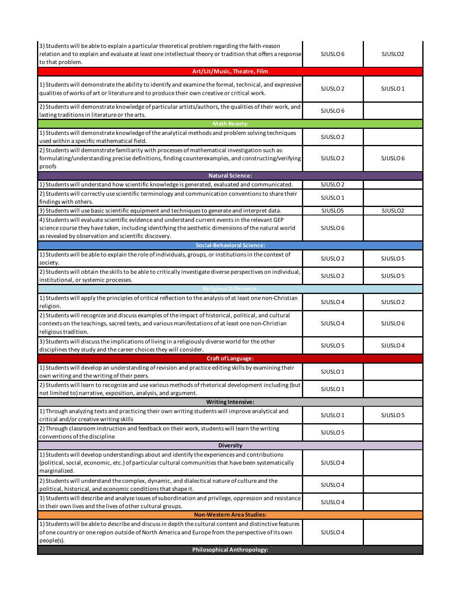| 3) Students will be able to explain a particular theoretical problem regarding the faith-reason<br>relation and to explain and evaluate at least one intellectual theory or tradition that offers a response<br>to that problem.                               | SJUSLO <sub>6</sub> | SJUSLO <sub>2</sub> |
|----------------------------------------------------------------------------------------------------------------------------------------------------------------------------------------------------------------------------------------------------------------|---------------------|---------------------|
| Art/Lit/Music, Theatre, Film                                                                                                                                                                                                                                   |                     |                     |
| 1) Students will demonstrate the ability to identify and examine the formal, technical, and expressive<br>qualities of works of art or literature and to produce their own creative or critical work.                                                          | SJUSLO <sub>2</sub> | SJUSLO <sub>1</sub> |
| 2) Students will demonstrate knowledge of particular artists/authors, the qualities of their work, and<br>lasting traditions in literature or the arts.                                                                                                        | SJUSLO <sub>6</sub> |                     |
| <b>Math Beauty:</b>                                                                                                                                                                                                                                            |                     |                     |
| 1) Students will demonstrate knowledge of the analytical methods and problem solving techniques<br>used within a specific mathematical field.                                                                                                                  | SJUSLO <sub>2</sub> |                     |
| 2) Students will demonstrate familiarity with processes of mathematical investigation such as:<br>formulating/understanding precise definitions, finding counterexamples, and constructing/verifying<br>proofs                                                 | SJUSLO <sub>2</sub> | SJUSLO <sub>6</sub> |
| <b>Natural Science:</b>                                                                                                                                                                                                                                        |                     |                     |
| 1) Students will understand how scientific knowledge is generated, evaluated and communicated.                                                                                                                                                                 | SJUSLO <sub>2</sub> |                     |
| 2) Students will correctly use scientific terminology and communication conventions to share their<br>findings with others.                                                                                                                                    | SJUSLO <sub>1</sub> |                     |
| 3) Students will use basic scientific equipment and techniques to generate and interpret data.                                                                                                                                                                 | SJUSLO5             | SJUSLO <sub>2</sub> |
| 4) Students will evaluate scientific evidence and understand current events in the relevant GEP<br>science course they have taken, including identifying the aesthetic dimensions of the natural world<br>as revealed by observation and scientific discovery. | SJUSLO 6            |                     |
| <b>Social-Behavioral Science:</b>                                                                                                                                                                                                                              |                     |                     |
| 1) Students will be able to explain the role of individuals, groups, or institutions in the context of<br>society.                                                                                                                                             | SJUSLO <sub>2</sub> | SJUSLO <sub>5</sub> |
| 2) Students will obtain the skills to be able to critically investigate diverse perspectives on individual,<br>institutional, or systemic processes.                                                                                                           | SJUSLO <sub>2</sub> | SJUSLO <sub>5</sub> |
| <b>Religious Difference:</b>                                                                                                                                                                                                                                   |                     |                     |
| 1) Students will apply the principles of critical reflection to the analysis of at least one non-Christian<br>religion.                                                                                                                                        | SJUSLO <sub>4</sub> | SJUSLO <sub>2</sub> |
| 2) Students will recognize and discuss examples of the impact of historical, political, and cultural<br>contexts on the teachings, sacred texts, and various manifestations of at least one non-Christian<br>religious tradition.                              | SJUSLO <sub>4</sub> | SJUSLO <sub>6</sub> |
| 3) Students will discuss the implications of living in a religiously diverse world for the other<br>disciplines they study and the career choices they will consider.                                                                                          | SJUSLO <sub>5</sub> | SJUSLO <sub>4</sub> |
| <b>Craft of Language:</b>                                                                                                                                                                                                                                      |                     |                     |
| 1) Students will develop an understanding of revision and practice editing skills by examining their<br>own writing and the writing of their peers.                                                                                                            | SJUSLO <sub>1</sub> |                     |
| 2) Students will learn to recognize and use various methods of rhetorical development including (but<br>not limited to) narrative, exposition, analysis, and argument.                                                                                         | SJUSLO <sub>1</sub> |                     |
| <b>Writing Intensive:</b>                                                                                                                                                                                                                                      |                     |                     |
| 1) Through analyzing texts and practicing their own writing students will improve analytical and<br>critical and/or creative writing skills                                                                                                                    | SJUSLO <sub>1</sub> | SJUSLO <sub>5</sub> |
| 2) Through classroom instruction and feedback on their work, students will learn the writing<br>conventions of the discipline                                                                                                                                  | SJUSLO 5            |                     |
| <b>Diversity</b>                                                                                                                                                                                                                                               |                     |                     |
| 1) Students will develop understandings about and identify the experiences and contributions<br>(political, social, economic, etc.) of particular cultural communities that have been systematically<br>marginalized.                                          | SJUSLO <sub>4</sub> |                     |
| 2) Students will understand the complex, dynamic, and dialectical nature of culture and the<br>political, historical, and economic conditions that shape it.                                                                                                   | SJUSLO <sub>4</sub> |                     |
| 3) Students will describe and analyze issues of subordination and privilege, oppression and resistance<br>in their own lives and the lives of other cultural groups.                                                                                           | SJUSLO <sub>4</sub> |                     |
| <b>Non-Western Area Studies:</b>                                                                                                                                                                                                                               |                     |                     |
| 1) Students will be able to describe and discuss in depth the cultural content and distinctive features<br>of one country or one region outside of North America and Europe from the perspective of its own                                                    | SJUSLO <sub>4</sub> |                     |
| people(s).                                                                                                                                                                                                                                                     |                     |                     |
| <b>Philosophical Anthropology:</b>                                                                                                                                                                                                                             |                     |                     |